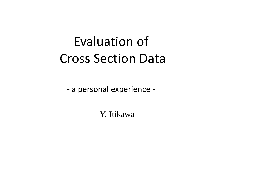# Evaluation of Cross Section Data

- a personal experience -

Y. Itikawa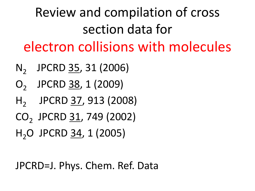Review and compilation of cross section data for electron collisions with molecules

- N<sub>2</sub> JPCRD 35, 31 (2006)
- O<sub>2</sub> JPCRD 38, 1 (2009)
- H<sub>2</sub> JPCRD 37, 913 (2008)
- CO<sub>2</sub> JPCRD 31, 749 (2002)
- H<sub>2</sub>O JPCRD 34, 1 (2005)

JPCRD=J. Phys. Chem. Ref. Data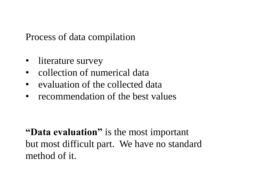Process of data compilation

- literature survey
- collection of numerical data
- evaluation of the collected data
- recommendation of the best values

**"Data evaluation"** is the most important but most difficult part. We have no standard method of it.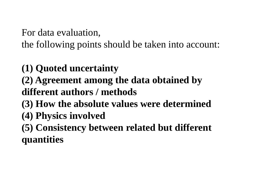For data evaluation,

the following points should be taken into account:

- **(1) Quoted uncertainty**
- **(2) Agreement among the data obtained by different authors / methods**
- **(3) How the absolute values were determined**
- **(4) Physics involved**
- **(5) Consistency between related but different quantities**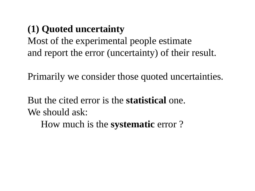## **(1) Quoted uncertainty**

Most of the experimental people estimate and report the error (uncertainty) of their result.

Primarily we consider those quoted uncertainties.

But the cited error is the **statistical** one. We should ask:

How much is the **systematic** error ?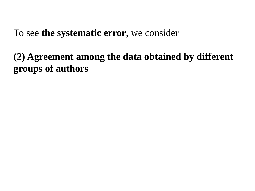To see **the systematic error**, we consider

**(2) Agreement among the data obtained by different groups of authors**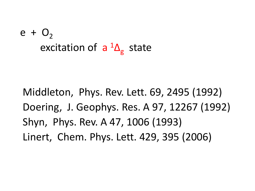# $e + O<sub>2</sub>$ excitation of  $a^{1}\Delta_{g}$  state

 Middleton, Phys. Rev. Lett. 69, 2495 (1992) Doering, J. Geophys. Res. A 97, 12267 (1992) Shyn, Phys. Rev. A 47, 1006 (1993) Linert, Chem. Phys. Lett. 429, 395 (2006)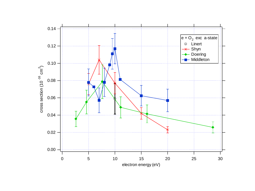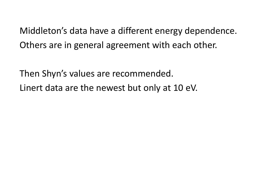Middleton's data have a different energy dependence. Others are in general agreement with each other.

Then Shyn's values are recommended. Linert data are the newest but only at 10 eV.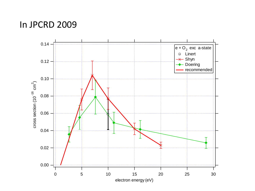### In JPCRD 2009

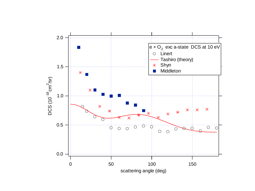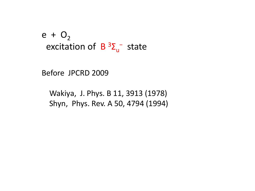$e + O_2$ excitation of  $B^3\Sigma_u^-$  state

Before JPCRD 2009

 Wakiya, J. Phys. B 11, 3913 (1978) Shyn, Phys. Rev. A 50, 4794 (1994)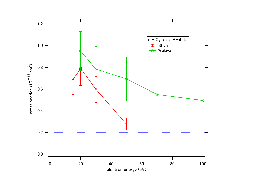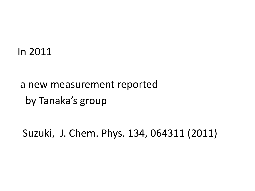### In 2011

## a new measurement reported by Tanaka's group

Suzuki, J. Chem. Phys. 134, 064311 (2011)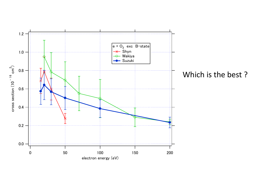

Which is the best ?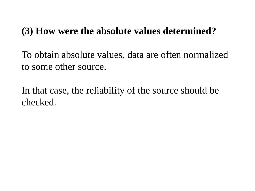### **(3) How were the absolute values determined?**

To obtain absolute values, data are often normalized to some other source.

In that case, the reliability of the source should be checked.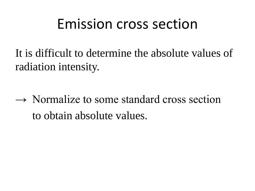# Emission cross section

It is difficult to determine the absolute values of radiation intensity.

 $\rightarrow$  Normalize to some standard cross section to obtain absolute values.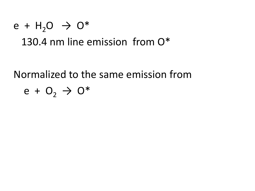## $e + H_2O \rightarrow O^*$ 130.4 nm line emission from O\*

Normalized to the same emission from  $e + O_2 \rightarrow O^*$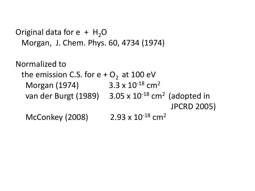```
Original data for e + H_2O Morgan, J. Chem. Phys. 60, 4734 (1974)
```

```
Normalized to 
the emission C.S. for e + O_2 at 100 eV
  Morgan (1974) 3.3 x 10<sup>-18</sup> cm<sup>2</sup>
  van der Burgt (1989) 3.05 \times 10^{-18} cm<sup>2</sup> (adopted in
                                                     JPCRD 2005)
  McConkey (2008) 2.93 \times 10^{-18} cm<sup>2</sup>
```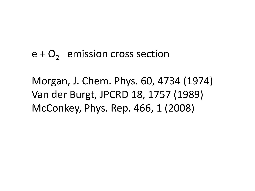## $e + O_2$  emission cross section

Morgan, J. Chem. Phys. 60, 4734 (1974) Van der Burgt, JPCRD 18, 1757 (1989) McConkey, Phys. Rep. 466, 1 (2008)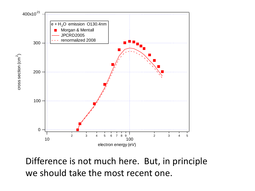

Difference is not much here. But, in principle we should take the most recent one.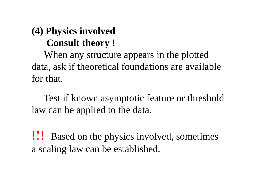## **(4) Physics involved Consult theory !**

 When any structure appears in the plotted data, ask if theoretical foundations are available for that.

 Test if known asymptotic feature or threshold law can be applied to the data.

!!! Based on the physics involved, sometimes a scaling law can be established.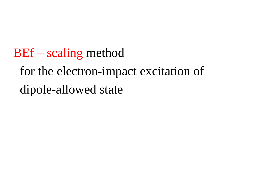BEf – scaling method for the electron-impact excitation of dipole-allowed state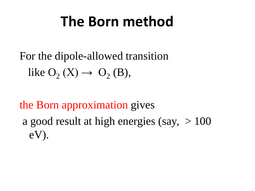# **The Born method**

For the dipole-allowed transition like  $O_2(X) \rightarrow O_2(B)$ ,

the Born approximation gives a good result at high energies (say,  $> 100$ ) eV).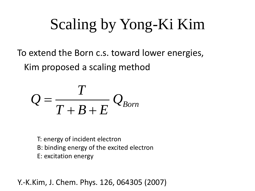# Scaling by Yong-Ki Kim

To extend the Born c.s. toward lower energies, Kim proposed a scaling method

$$
Q = \frac{T}{T+B+E} Q_{Born}
$$

T: energy of incident electron B: binding energy of the excited electron E: excitation energy

Y.-K.Kim, J. Chem. Phys. 126, 064305 (2007)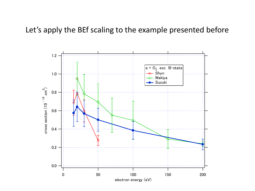#### Let's apply the BEf scaling to the example presented before

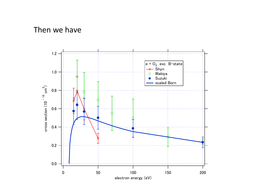#### Then we have

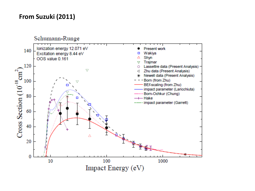#### **From Suzuki (2011)**

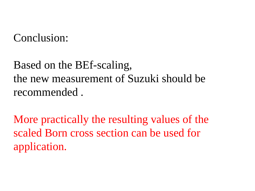Conclusion:

Based on the BEf-scaling, the new measurement of Suzuki should be recommended .

More practically the resulting values of the scaled Born cross section can be used for application.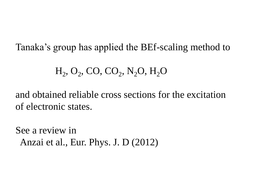Tanaka's group has applied the BEf-scaling method to

 $H_2$ , O<sub>2</sub>, CO, CO<sub>2</sub>, N<sub>2</sub>O, H<sub>2</sub>O

and obtained reliable cross sections for the excitation of electronic states.

See a review in Anzai et al., Eur. Phys. J. D (2012)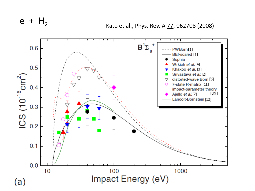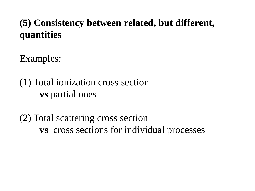## **(5) Consistency between related, but different, quantities**

Examples:

(1) Total ionization cross section **vs** partial ones

(2) Total scattering cross section  **vs** cross sections for individual processes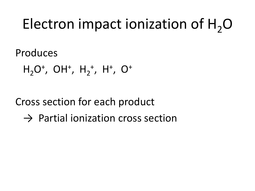# Electron impact ionization of  $H_2O$

Produces

 $H_2O^+$ , OH<sup>+</sup>, H<sub>2</sub><sup>+</sup>, H<sup>+</sup>, O<sup>+</sup>

Cross section for each product

 $\rightarrow$  Partial ionization cross section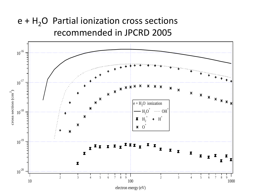### $e + H<sub>2</sub>O$  Partial ionization cross sections recommended in JPCRD 2005

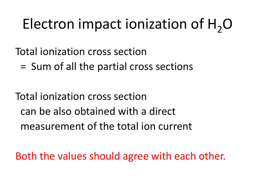# Electron impact ionization of  $H_2O$

Total ionization cross section

= Sum of all the partial cross sections

Total ionization cross section can be also obtained with a direct measurement of the total ion current

Both the values should agree with each other.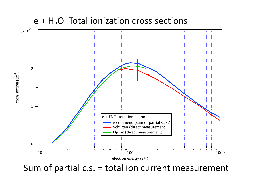

Sum of partial c.s. = total ion current measurement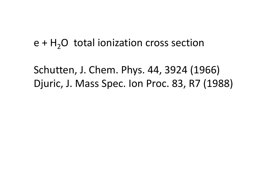### $e + H<sub>2</sub>O$  total ionization cross section

Schutten, J. Chem. Phys. 44, 3924 (1966) Djuric, J. Mass Spec. Ion Proc. 83, R7 (1988)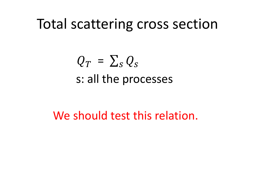# Total scattering cross section

# $Q_T = \sum_s Q_s$ s: all the processes

We should test this relation.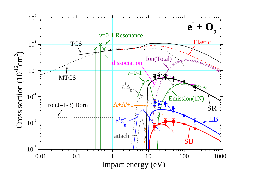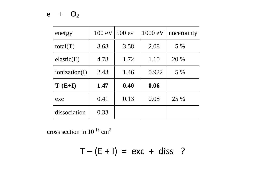#### $e + O_2$

| energy        | $100 \text{ eV}$ | 500 ev | 1000 eV | uncertainty |
|---------------|------------------|--------|---------|-------------|
| total(T)      | 8.68             | 3.58   | 2.08    | 5 %         |
| elastic(E)    | 4.78             | 1.72   | 1.10    | 20 %        |
| ionization(I) | 2.43             | 1.46   | 0.922   | 5 %         |
| $T-(E+I)$     | 1.47             | 0.40   | 0.06    |             |
| exc           | 0.41             | 0.13   | 0.08    | 25 %        |
| dissociation  | 0.33             |        |         |             |

cross section in  $10^{-16}$  cm<sup>2</sup>

 $T - (E + I) = exc + diss$  ?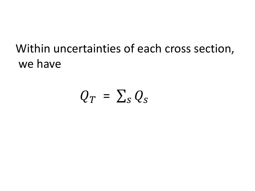## Within uncertainties of each cross section, we have

# $Q_T = \sum_S Q_S$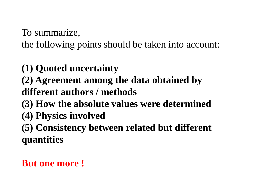To summarize,

the following points should be taken into account:

**(1) Quoted uncertainty** 

**(2) Agreement among the data obtained by different authors / methods**

- **(3) How the absolute values were determined**
- **(4) Physics involved**

**(5) Consistency between related but different quantities**

## **But one more !**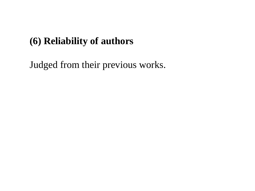### **(6) Reliability of authors**

Judged from their previous works.